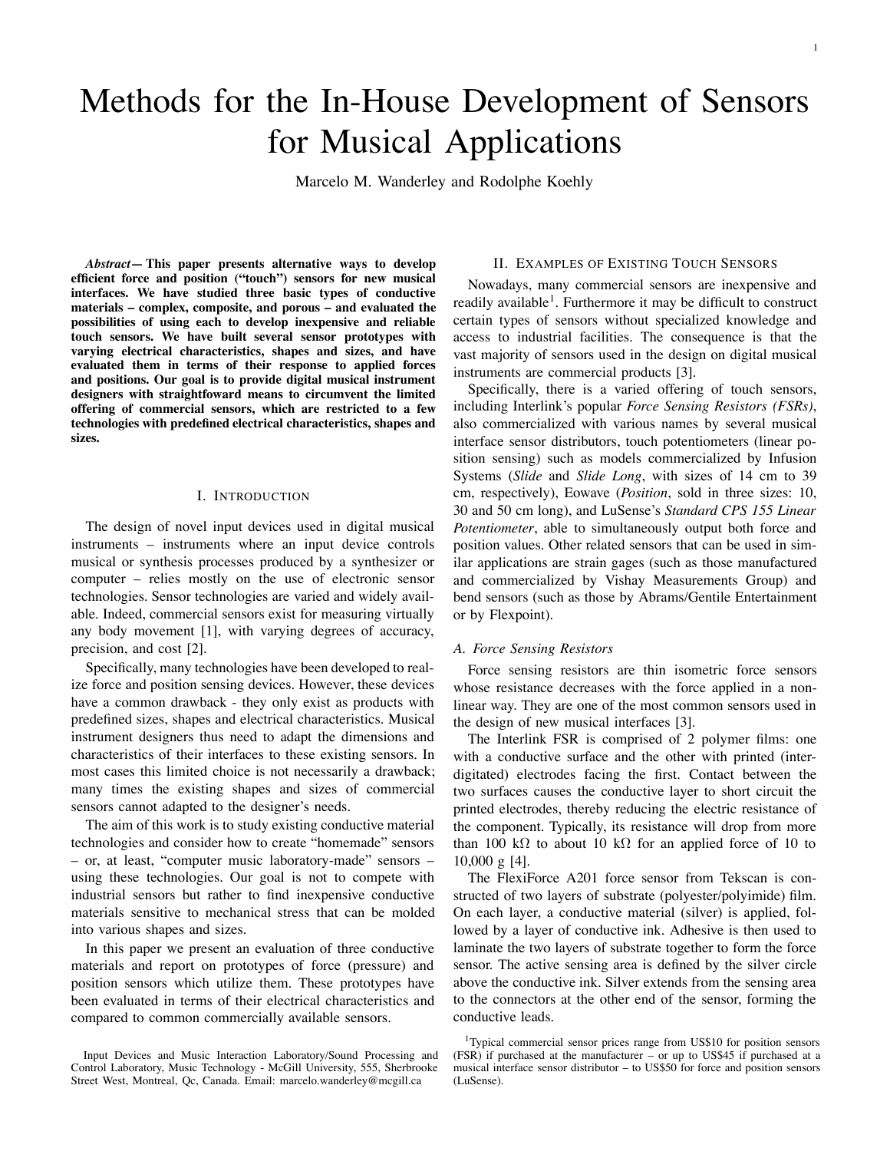# Methods for the In-House Development of Sensors for Musical Applications

Marcelo M. Wanderley and Rodolphe Koehly

*Abstract***— This paper presents alternative ways to develop efficient force and position ("touch") sensors for new musical interfaces. We have studied three basic types of conductive materials – complex, composite, and porous – and evaluated the possibilities of using each to develop inexpensive and reliable touch sensors. We have built several sensor prototypes with varying electrical characteristics, shapes and sizes, and have evaluated them in terms of their response to applied forces and positions. Our goal is to provide digital musical instrument designers with straightfoward means to circumvent the limited offering of commercial sensors, which are restricted to a few technologies with predefined electrical characteristics, shapes and sizes.**

# I. INTRODUCTION

The design of novel input devices used in digital musical instruments – instruments where an input device controls musical or synthesis processes produced by a synthesizer or computer – relies mostly on the use of electronic sensor technologies. Sensor technologies are varied and widely available. Indeed, commercial sensors exist for measuring virtually any body movement [1], with varying degrees of accuracy, precision, and cost [2].

Specifically, many technologies have been developed to realize force and position sensing devices. However, these devices have a common drawback - they only exist as products with predefined sizes, shapes and electrical characteristics. Musical instrument designers thus need to adapt the dimensions and characteristics of their interfaces to these existing sensors. In most cases this limited choice is not necessarily a drawback; many times the existing shapes and sizes of commercial sensors cannot adapted to the designer's needs.

The aim of this work is to study existing conductive material technologies and consider how to create "homemade" sensors – or, at least, "computer music laboratory-made" sensors – using these technologies. Our goal is not to compete with industrial sensors but rather to find inexpensive conductive materials sensitive to mechanical stress that can be molded into various shapes and sizes.

In this paper we present an evaluation of three conductive materials and report on prototypes of force (pressure) and position sensors which utilize them. These prototypes have been evaluated in terms of their electrical characteristics and compared to common commercially available sensors.

# II. EXAMPLES OF EXISTING TOUCH SENSORS

Nowadays, many commercial sensors are inexpensive and readily available<sup>1</sup>. Furthermore it may be difficult to construct certain types of sensors without specialized knowledge and access to industrial facilities. The consequence is that the vast majority of sensors used in the design on digital musical instruments are commercial products [3].

Specifically, there is a varied offering of touch sensors, including Interlink's popular *Force Sensing Resistors (FSRs)*, also commercialized with various names by several musical interface sensor distributors, touch potentiometers (linear position sensing) such as models commercialized by Infusion Systems (*Slide* and *Slide Long*, with sizes of 14 cm to 39 cm, respectively), Eowave (*Position*, sold in three sizes: 10, 30 and 50 cm long), and LuSense's *Standard CPS 155 Linear Potentiometer*, able to simultaneously output both force and position values. Other related sensors that can be used in similar applications are strain gages (such as those manufactured and commercialized by Vishay Measurements Group) and bend sensors (such as those by Abrams/Gentile Entertainment or by Flexpoint).

# *A. Force Sensing Resistors*

Force sensing resistors are thin isometric force sensors whose resistance decreases with the force applied in a nonlinear way. They are one of the most common sensors used in the design of new musical interfaces [3].

The Interlink FSR is comprised of 2 polymer films: one with a conductive surface and the other with printed (interdigitated) electrodes facing the first. Contact between the two surfaces causes the conductive layer to short circuit the printed electrodes, thereby reducing the electric resistance of the component. Typically, its resistance will drop from more than 100 kΩ to about 10 kΩ for an applied force of 10 to 10,000 g [4].

The FlexiForce A201 force sensor from Tekscan is constructed of two layers of substrate (polyester/polyimide) film. On each layer, a conductive material (silver) is applied, followed by a layer of conductive ink. Adhesive is then used to laminate the two layers of substrate together to form the force sensor. The active sensing area is defined by the silver circle above the conductive ink. Silver extends from the sensing area to the connectors at the other end of the sensor, forming the conductive leads.

Input Devices and Music Interaction Laboratory/Sound Processing and Control Laboratory, Music Technology - McGill University, 555, Sherbrooke Street West, Montreal, Qc, Canada. Email: marcelo.wanderley@mcgill.ca

<sup>&</sup>lt;sup>1</sup>Typical commercial sensor prices range from US\$10 for position sensors (FSR) if purchased at the manufacturer – or up to US\$45 if purchased at a musical interface sensor distributor – to US\$50 for force and position sensors (LuSense).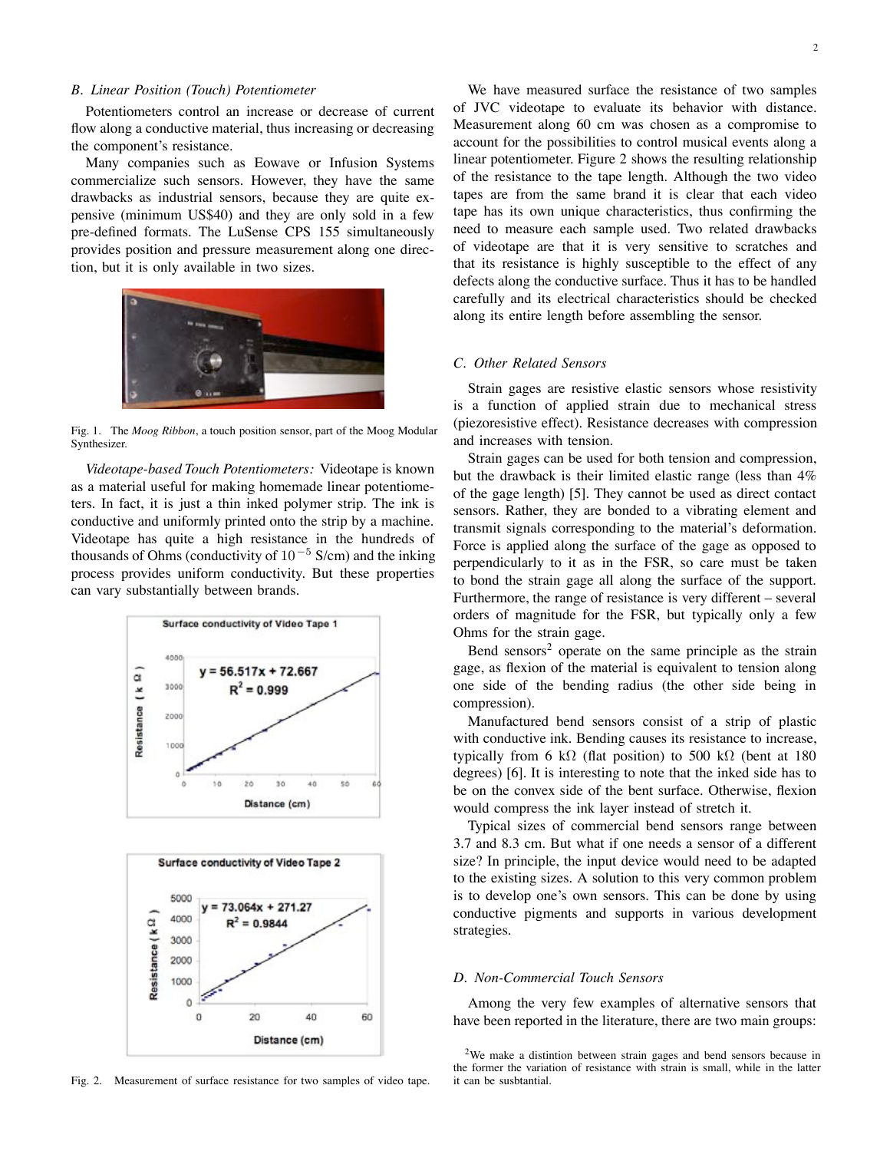## *B. Linear Position (Touch) Potentiometer*

Potentiometers control an increase or decrease of current flow along a conductive material, thus increasing or decreasing the component's resistance.

Many companies such as Eowave or Infusion Systems commercialize such sensors. However, they have the same drawbacks as industrial sensors, because they are quite expensive (minimum US\$40) and they are only sold in a few pre-defined formats. The LuSense CPS 155 simultaneously provides position and pressure measurement along one direction, but it is only available in two sizes.



Fig. 1. The *Moog Ribbon*, a touch position sensor, part of the Moog Modular Synthesizer.

*Videotape-based Touch Potentiometers:* Videotape is known as a material useful for making homemade linear potentiometers. In fact, it is just a thin inked polymer strip. The ink is conductive and uniformly printed onto the strip by a machine. Videotape has quite a high resistance in the hundreds of thousands of Ohms (conductivity of  $10^{-5}$  S/cm) and the inking process provides uniform conductivity. But these properties can vary substantially between brands.





Fig. 2. Measurement of surface resistance for two samples of video tape.

We have measured surface the resistance of two samples of JVC videotape to evaluate its behavior with distance. Measurement along 60 cm was chosen as a compromise to account for the possibilities to control musical events along a linear potentiometer. Figure 2 shows the resulting relationship of the resistance to the tape length. Although the two video tapes are from the same brand it is clear that each video tape has its own unique characteristics, thus confirming the need to measure each sample used. Two related drawbacks of videotape are that it is very sensitive to scratches and that its resistance is highly susceptible to the effect of any defects along the conductive surface. Thus it has to be handled carefully and its electrical characteristics should be checked along its entire length before assembling the sensor.

## *C. Other Related Sensors*

Strain gages are resistive elastic sensors whose resistivity is a function of applied strain due to mechanical stress (piezoresistive effect). Resistance decreases with compression and increases with tension.

Strain gages can be used for both tension and compression, but the drawback is their limited elastic range (less than 4% of the gage length) [5]. They cannot be used as direct contact sensors. Rather, they are bonded to a vibrating element and transmit signals corresponding to the material's deformation. Force is applied along the surface of the gage as opposed to perpendicularly to it as in the FSR, so care must be taken to bond the strain gage all along the surface of the support. Furthermore, the range of resistance is very different – several orders of magnitude for the FSR, but typically only a few Ohms for the strain gage.

Bend sensors<sup>2</sup> operate on the same principle as the strain gage, as flexion of the material is equivalent to tension along one side of the bending radius (the other side being in compression).

Manufactured bend sensors consist of a strip of plastic with conductive ink. Bending causes its resistance to increase, typically from 6 kΩ (flat position) to 500 kΩ (bent at 180 degrees) [6]. It is interesting to note that the inked side has to be on the convex side of the bent surface. Otherwise, flexion would compress the ink layer instead of stretch it.

Typical sizes of commercial bend sensors range between 3.7 and 8.3 cm. But what if one needs a sensor of a different size? In principle, the input device would need to be adapted to the existing sizes. A solution to this very common problem is to develop one's own sensors. This can be done by using conductive pigments and supports in various development strategies.

## *D. Non-Commercial Touch Sensors*

Among the very few examples of alternative sensors that have been reported in the literature, there are two main groups:

<sup>2</sup>We make a distintion between strain gages and bend sensors because in the former the variation of resistance with strain is small, while in the latter it can be susbtantial.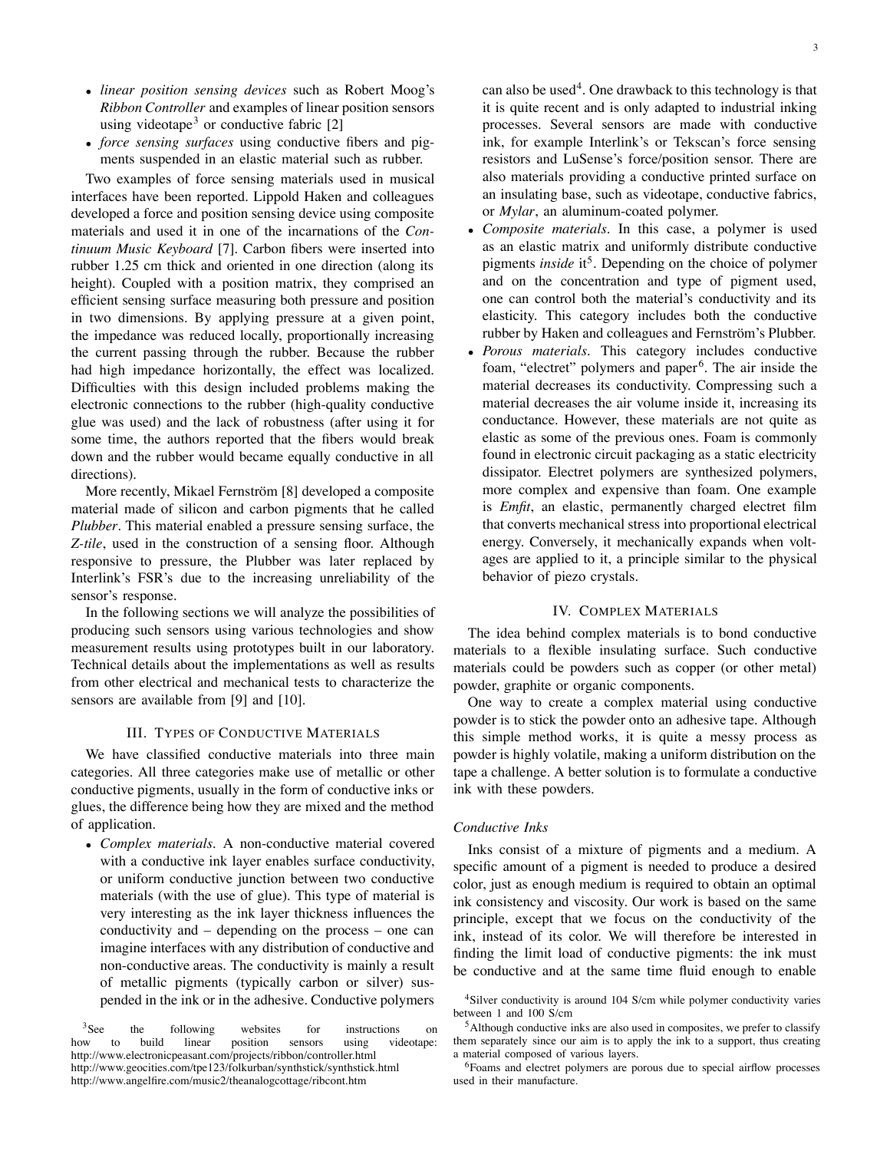- *linear position sensing devices* such as Robert Moog's *Ribbon Controller* and examples of linear position sensors using videotape<sup>3</sup> or conductive fabric  $[2]$
- *force sensing surfaces* using conductive fibers and pigments suspended in an elastic material such as rubber.

Two examples of force sensing materials used in musical interfaces have been reported. Lippold Haken and colleagues developed a force and position sensing device using composite materials and used it in one of the incarnations of the *Continuum Music Keyboard* [7]. Carbon fibers were inserted into rubber 1.25 cm thick and oriented in one direction (along its height). Coupled with a position matrix, they comprised an efficient sensing surface measuring both pressure and position in two dimensions. By applying pressure at a given point, the impedance was reduced locally, proportionally increasing the current passing through the rubber. Because the rubber had high impedance horizontally, the effect was localized. Difficulties with this design included problems making the electronic connections to the rubber (high-quality conductive glue was used) and the lack of robustness (after using it for some time, the authors reported that the fibers would break down and the rubber would became equally conductive in all directions).

More recently, Mikael Fernström [8] developed a composite material made of silicon and carbon pigments that he called *Plubber*. This material enabled a pressure sensing surface, the *Z-tile*, used in the construction of a sensing floor. Although responsive to pressure, the Plubber was later replaced by Interlink's FSR's due to the increasing unreliability of the sensor's response.

In the following sections we will analyze the possibilities of producing such sensors using various technologies and show measurement results using prototypes built in our laboratory. Technical details about the implementations as well as results from other electrical and mechanical tests to characterize the sensors are available from [9] and [10].

## III. TYPES OF CONDUCTIVE MATERIALS

We have classified conductive materials into three main categories. All three categories make use of metallic or other conductive pigments, usually in the form of conductive inks or glues, the difference being how they are mixed and the method of application.

• *Complex materials*. A non-conductive material covered with a conductive ink layer enables surface conductivity, or uniform conductive junction between two conductive materials (with the use of glue). This type of material is very interesting as the ink layer thickness influences the conductivity and – depending on the process – one can imagine interfaces with any distribution of conductive and non-conductive areas. The conductivity is mainly a result of metallic pigments (typically carbon or silver) suspended in the ink or in the adhesive. Conductive polymers

<sup>3</sup>See the following websites for instructions on how to build linear position sensors using videotape: http://www.electronicpeasant.com/projects/ribbon/controller.html http://www.geocities.com/tpe123/folkurban/synthstick/synthstick.html http://www.angelfire.com/music2/theanalogcottage/ribcont.htm

can also be used<sup>4</sup>. One drawback to this technology is that it is quite recent and is only adapted to industrial inking processes. Several sensors are made with conductive ink, for example Interlink's or Tekscan's force sensing resistors and LuSense's force/position sensor. There are also materials providing a conductive printed surface on an insulating base, such as videotape, conductive fabrics, or *Mylar*, an aluminum-coated polymer.

- *Composite materials*. In this case, a polymer is used as an elastic matrix and uniformly distribute conductive pigments *inside* it<sup>5</sup>. Depending on the choice of polymer and on the concentration and type of pigment used, one can control both the material's conductivity and its elasticity. This category includes both the conductive rubber by Haken and colleagues and Fernström's Plubber.
- *Porous materials*. This category includes conductive foam, "electret" polymers and paper<sup>6</sup>. The air inside the material decreases its conductivity. Compressing such a material decreases the air volume inside it, increasing its conductance. However, these materials are not quite as elastic as some of the previous ones. Foam is commonly found in electronic circuit packaging as a static electricity dissipator. Electret polymers are synthesized polymers, more complex and expensive than foam. One example is *Emfit*, an elastic, permanently charged electret film that converts mechanical stress into proportional electrical energy. Conversely, it mechanically expands when voltages are applied to it, a principle similar to the physical behavior of piezo crystals.

## IV. COMPLEX MATERIALS

The idea behind complex materials is to bond conductive materials to a flexible insulating surface. Such conductive materials could be powders such as copper (or other metal) powder, graphite or organic components.

One way to create a complex material using conductive powder is to stick the powder onto an adhesive tape. Although this simple method works, it is quite a messy process as powder is highly volatile, making a uniform distribution on the tape a challenge. A better solution is to formulate a conductive ink with these powders.

## *Conductive Inks*

Inks consist of a mixture of pigments and a medium. A specific amount of a pigment is needed to produce a desired color, just as enough medium is required to obtain an optimal ink consistency and viscosity. Our work is based on the same principle, except that we focus on the conductivity of the ink, instead of its color. We will therefore be interested in finding the limit load of conductive pigments: the ink must be conductive and at the same time fluid enough to enable

<sup>&</sup>lt;sup>4</sup>Silver conductivity is around 104 S/cm while polymer conductivity varies between 1 and 100 S/cm

<sup>&</sup>lt;sup>5</sup>Although conductive inks are also used in composites, we prefer to classify them separately since our aim is to apply the ink to a support, thus creating a material composed of various layers.

<sup>6</sup>Foams and electret polymers are porous due to special airflow processes used in their manufacture.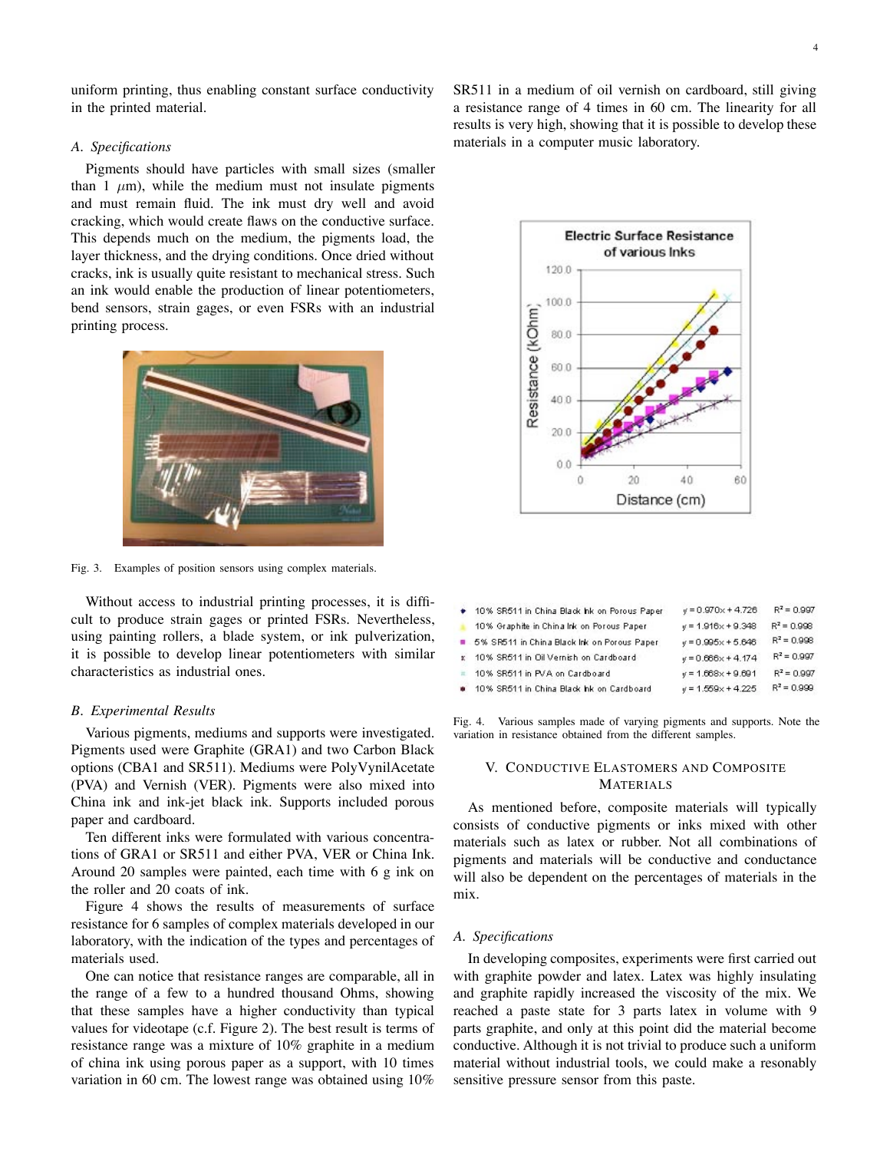uniform printing, thus enabling constant surface conductivity in the printed material.

# *A. Specifications*

Pigments should have particles with small sizes (smaller than 1  $\mu$ m), while the medium must not insulate pigments and must remain fluid. The ink must dry well and avoid cracking, which would create flaws on the conductive surface. This depends much on the medium, the pigments load, the layer thickness, and the drying conditions. Once dried without cracks, ink is usually quite resistant to mechanical stress. Such an ink would enable the production of linear potentiometers, bend sensors, strain gages, or even FSRs with an industrial printing process.



Fig. 3. Examples of position sensors using complex materials.

Without access to industrial printing processes, it is difficult to produce strain gages or printed FSRs. Nevertheless, using painting rollers, a blade system, or ink pulverization, it is possible to develop linear potentiometers with similar characteristics as industrial ones.

#### *B. Experimental Results*

Various pigments, mediums and supports were investigated. Pigments used were Graphite (GRA1) and two Carbon Black options (CBA1 and SR511). Mediums were PolyVynilAcetate (PVA) and Vernish (VER). Pigments were also mixed into China ink and ink-jet black ink. Supports included porous paper and cardboard.

Ten different inks were formulated with various concentrations of GRA1 or SR511 and either PVA, VER or China Ink. Around 20 samples were painted, each time with 6 g ink on the roller and 20 coats of ink.

Figure 4 shows the results of measurements of surface resistance for 6 samples of complex materials developed in our laboratory, with the indication of the types and percentages of materials used.

One can notice that resistance ranges are comparable, all in the range of a few to a hundred thousand Ohms, showing that these samples have a higher conductivity than typical values for videotape (c.f. Figure 2). The best result is terms of resistance range was a mixture of 10% graphite in a medium of china ink using porous paper as a support, with 10 times variation in 60 cm. The lowest range was obtained using 10%

SR511 in a medium of oil vernish on cardboard, still giving a resistance range of 4 times in 60 cm. The linearity for all results is very high, showing that it is possible to develop these materials in a computer music laboratory.



|              | 10% SR511 in China Black hk on Porous Paper | $y = 0.970 \times +4.726$  | $R^2 = 0.997$ |
|--------------|---------------------------------------------|----------------------------|---------------|
|              | 10% Graphite in China Ink on Porous Paper   | $y = 1.916 \times + 9.348$ | $R^2 = 0.998$ |
|              | 5% SR511 in China Black Ink on Porous Paper | $y = 0.995x + 5.646$       | $R^2 = 0.998$ |
| $\mathbf{r}$ | 10% SR511 in Oil Vernish on Cardboard       | $y = 0.666x + 4.174$       | $R^2 = 0.997$ |
|              | 10% SR511 in PVA on Cardboard               | $y = 1.668 \times + 9.691$ | $R^2 = 0.997$ |
|              | 10% SR511 in China Black hk on Cardboard    | $y = 1.559x + 4.225$       | $R^2 = 0.999$ |

Fig. 4. Various samples made of varying pigments and supports. Note the variation in resistance obtained from the different samples.

# V. CONDUCTIVE ELASTOMERS AND COMPOSITE MATERIALS

As mentioned before, composite materials will typically consists of conductive pigments or inks mixed with other materials such as latex or rubber. Not all combinations of pigments and materials will be conductive and conductance will also be dependent on the percentages of materials in the mix.

# *A. Specifications*

In developing composites, experiments were first carried out with graphite powder and latex. Latex was highly insulating and graphite rapidly increased the viscosity of the mix. We reached a paste state for 3 parts latex in volume with 9 parts graphite, and only at this point did the material become conductive. Although it is not trivial to produce such a uniform material without industrial tools, we could make a resonably sensitive pressure sensor from this paste.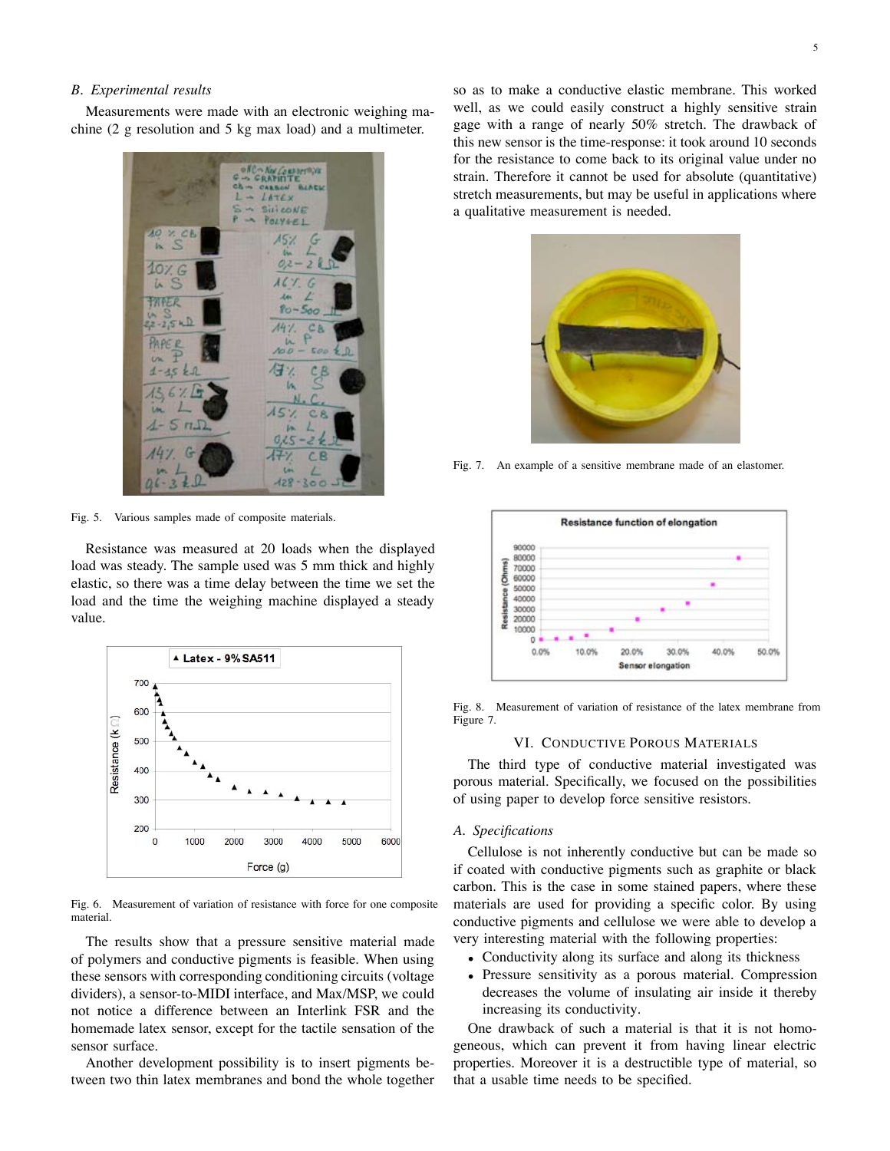#### *B. Experimental results*

Measurements were made with an electronic weighing machine (2 g resolution and 5 kg max load) and a multimeter.



Fig. 5. Various samples made of composite materials.

Resistance was measured at 20 loads when the displayed load was steady. The sample used was 5 mm thick and highly elastic, so there was a time delay between the time we set the load and the time the weighing machine displayed a steady value.



Fig. 6. Measurement of variation of resistance with force for one composite material.

The results show that a pressure sensitive material made of polymers and conductive pigments is feasible. When using these sensors with corresponding conditioning circuits (voltage dividers), a sensor-to-MIDI interface, and Max/MSP, we could not notice a difference between an Interlink FSR and the homemade latex sensor, except for the tactile sensation of the sensor surface.

Another development possibility is to insert pigments between two thin latex membranes and bond the whole together

so as to make a conductive elastic membrane. This worked well, as we could easily construct a highly sensitive strain gage with a range of nearly 50% stretch. The drawback of this new sensor is the time-response: it took around 10 seconds for the resistance to come back to its original value under no strain. Therefore it cannot be used for absolute (quantitative) stretch measurements, but may be useful in applications where a qualitative measurement is needed.



Fig. 7. An example of a sensitive membrane made of an elastomer.



Fig. 8. Measurement of variation of resistance of the latex membrane from Figure 7.

#### VI. CONDUCTIVE POROUS MATERIALS

The third type of conductive material investigated was porous material. Specifically, we focused on the possibilities of using paper to develop force sensitive resistors.

#### *A. Specifications*

Cellulose is not inherently conductive but can be made so if coated with conductive pigments such as graphite or black carbon. This is the case in some stained papers, where these materials are used for providing a specific color. By using conductive pigments and cellulose we were able to develop a very interesting material with the following properties:

- Conductivity along its surface and along its thickness
- Pressure sensitivity as a porous material. Compression decreases the volume of insulating air inside it thereby increasing its conductivity.

One drawback of such a material is that it is not homogeneous, which can prevent it from having linear electric properties. Moreover it is a destructible type of material, so that a usable time needs to be specified.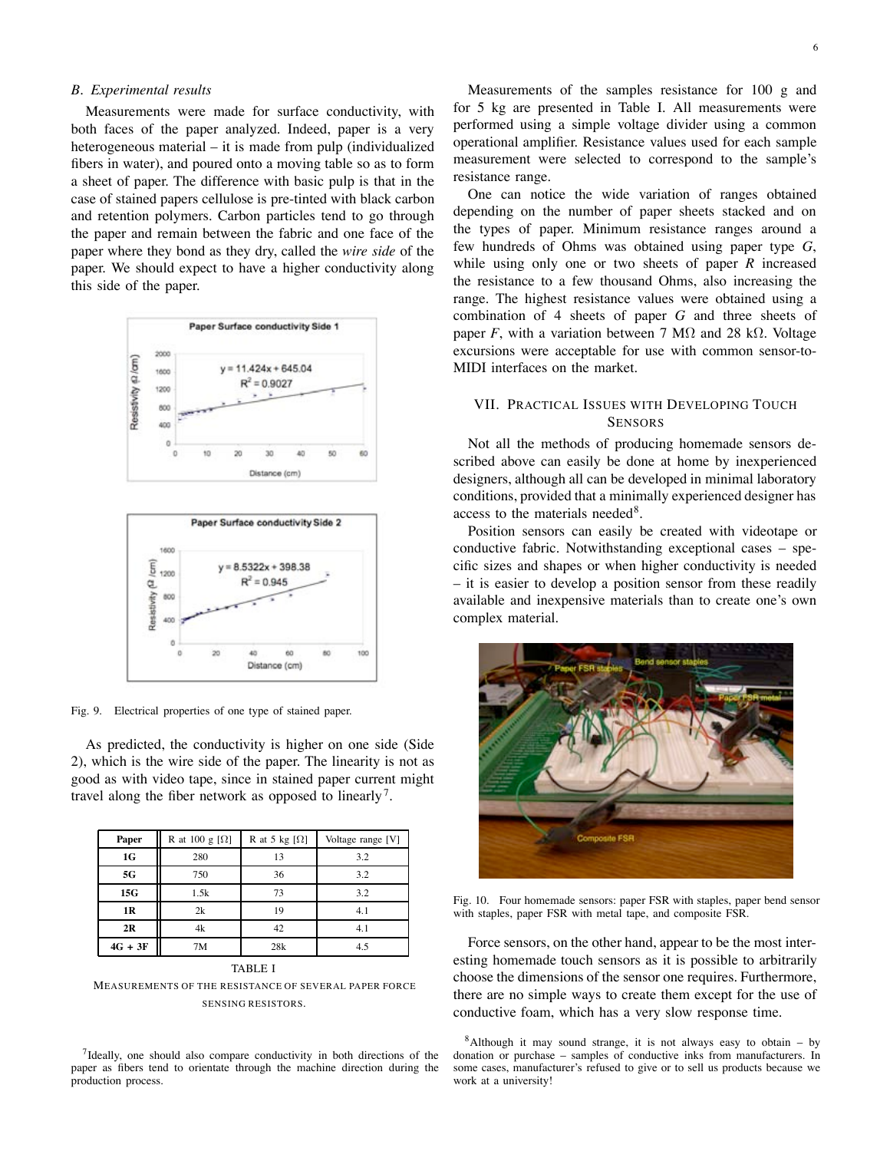## *B. Experimental results*

Measurements were made for surface conductivity, with both faces of the paper analyzed. Indeed, paper is a very heterogeneous material – it is made from pulp (individualized fibers in water), and poured onto a moving table so as to form a sheet of paper. The difference with basic pulp is that in the case of stained papers cellulose is pre-tinted with black carbon and retention polymers. Carbon particles tend to go through the paper and remain between the fabric and one face of the paper where they bond as they dry, called the *wire side* of the paper. We should expect to have a higher conductivity along this side of the paper.





Fig. 9. Electrical properties of one type of stained paper.

As predicted, the conductivity is higher on one side (Side 2), which is the wire side of the paper. The linearity is not as good as with video tape, since in stained paper current might travel along the fiber network as opposed to linearly<sup>7</sup>.

| R at 100 g $[\Omega]$ | R at 5 kg $[\Omega]$ | Voltage range [V] |
|-----------------------|----------------------|-------------------|
| 280                   | 13                   | 3.2               |
| 750                   | 36                   | 3.2               |
| 1.5k                  | 73                   | 3.2               |
| 2k                    | 19                   | 4.1               |
| 4k                    | 42                   | 4.1               |
| 7M                    | 28k                  | 4.5               |
|                       |                      |                   |

## TABLE I

MEASUREMENTS OF THE RESISTANCE OF SEVERAL PAPER FORCE SENSING RESISTORS.

<sup>7</sup>Ideally, one should also compare conductivity in both directions of the paper as fibers tend to orientate through the machine direction during the production process.

Measurements of the samples resistance for 100 g and for 5 kg are presented in Table I. All measurements were performed using a simple voltage divider using a common operational amplifier. Resistance values used for each sample measurement were selected to correspond to the sample's resistance range.

One can notice the wide variation of ranges obtained depending on the number of paper sheets stacked and on the types of paper. Minimum resistance ranges around a few hundreds of Ohms was obtained using paper type *G*, while using only one or two sheets of paper *R* increased the resistance to a few thousand Ohms, also increasing the range. The highest resistance values were obtained using a combination of 4 sheets of paper *G* and three sheets of paper *F*, with a variation between 7 M $\Omega$  and 28 k $\Omega$ . Voltage excursions were acceptable for use with common sensor-to-MIDI interfaces on the market.

# VII. PRACTICAL ISSUES WITH DEVELOPING TOUCH **SENSORS**

Not all the methods of producing homemade sensors described above can easily be done at home by inexperienced designers, although all can be developed in minimal laboratory conditions, provided that a minimally experienced designer has access to the materials needed<sup>8</sup>.

Position sensors can easily be created with videotape or conductive fabric. Notwithstanding exceptional cases – specific sizes and shapes or when higher conductivity is needed – it is easier to develop a position sensor from these readily available and inexpensive materials than to create one's own complex material.



Fig. 10. Four homemade sensors: paper FSR with staples, paper bend sensor with staples, paper FSR with metal tape, and composite FSR.

Force sensors, on the other hand, appear to be the most interesting homemade touch sensors as it is possible to arbitrarily choose the dimensions of the sensor one requires. Furthermore, there are no simple ways to create them except for the use of conductive foam, which has a very slow response time.

 $8$ Although it may sound strange, it is not always easy to obtain – by donation or purchase – samples of conductive inks from manufacturers. In some cases, manufacturer's refused to give or to sell us products because we work at a university!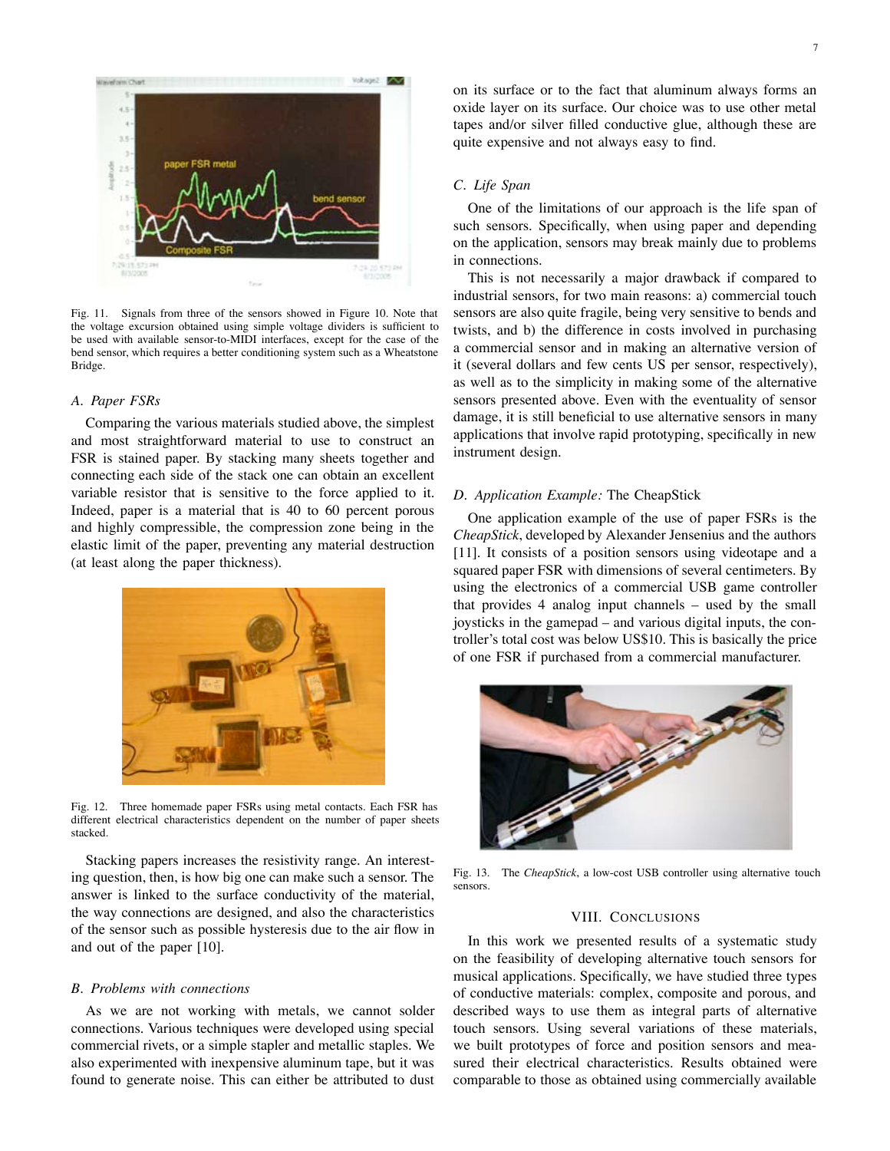

Fig. 11. Signals from three of the sensors showed in Figure 10. Note that the voltage excursion obtained using simple voltage dividers is sufficient to be used with available sensor-to-MIDI interfaces, except for the case of the bend sensor, which requires a better conditioning system such as a Wheatstone Bridge.

#### *A. Paper FSRs*

Comparing the various materials studied above, the simplest and most straightforward material to use to construct an FSR is stained paper. By stacking many sheets together and connecting each side of the stack one can obtain an excellent variable resistor that is sensitive to the force applied to it. Indeed, paper is a material that is 40 to 60 percent porous and highly compressible, the compression zone being in the elastic limit of the paper, preventing any material destruction (at least along the paper thickness).



Fig. 12. Three homemade paper FSRs using metal contacts. Each FSR has different electrical characteristics dependent on the number of paper sheets stacked.

Stacking papers increases the resistivity range. An interesting question, then, is how big one can make such a sensor. The answer is linked to the surface conductivity of the material, the way connections are designed, and also the characteristics of the sensor such as possible hysteresis due to the air flow in and out of the paper [10].

#### *B. Problems with connections*

As we are not working with metals, we cannot solder connections. Various techniques were developed using special commercial rivets, or a simple stapler and metallic staples. We also experimented with inexpensive aluminum tape, but it was found to generate noise. This can either be attributed to dust on its surface or to the fact that aluminum always forms an oxide layer on its surface. Our choice was to use other metal tapes and/or silver filled conductive glue, although these are quite expensive and not always easy to find.

# *C. Life Span*

One of the limitations of our approach is the life span of such sensors. Specifically, when using paper and depending on the application, sensors may break mainly due to problems in connections.

This is not necessarily a major drawback if compared to industrial sensors, for two main reasons: a) commercial touch sensors are also quite fragile, being very sensitive to bends and twists, and b) the difference in costs involved in purchasing a commercial sensor and in making an alternative version of it (several dollars and few cents US per sensor, respectively), as well as to the simplicity in making some of the alternative sensors presented above. Even with the eventuality of sensor damage, it is still beneficial to use alternative sensors in many applications that involve rapid prototyping, specifically in new instrument design.

## *D. Application Example:* The CheapStick

One application example of the use of paper FSRs is the *CheapStick*, developed by Alexander Jensenius and the authors [11]. It consists of a position sensors using videotape and a squared paper FSR with dimensions of several centimeters. By using the electronics of a commercial USB game controller that provides 4 analog input channels – used by the small joysticks in the gamepad – and various digital inputs, the controller's total cost was below US\$10. This is basically the price of one FSR if purchased from a commercial manufacturer.



Fig. 13. The *CheapStick*, a low-cost USB controller using alternative touch sensors.

## VIII. CONCLUSIONS

In this work we presented results of a systematic study on the feasibility of developing alternative touch sensors for musical applications. Specifically, we have studied three types of conductive materials: complex, composite and porous, and described ways to use them as integral parts of alternative touch sensors. Using several variations of these materials, we built prototypes of force and position sensors and measured their electrical characteristics. Results obtained were comparable to those as obtained using commercially available